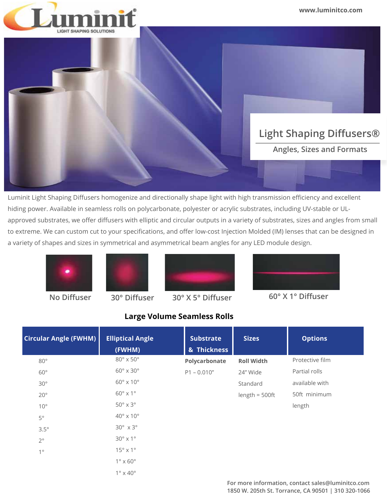

Luminit Light Shaping Diffusers homogenize and directionally shape light with high transmission efficiency and excellent hiding power. Available in seamless rolls on polycarbonate, polyester or acrylic substrates, including UV-stable or ULapproved substrates, we offer diffusers with elliptic and circular outputs in a variety of substrates, sizes and angles from small to extreme. We can custom cut to your specifications, and offer low-cost Injection Molded (IM) lenses that can be designed in a variety of shapes and sizes in symmetrical and asymmetrical beam angles for any LED module design.









**No Diffuser 30° Diffuser 30° X 5° Diffuser 60° X 1° Diffuser**

#### 80° 60° 30° 20° 10° 5° 3.5°  $2^{\circ}$ 1° Circular Angle (FWHM) **Elliptical Angle Communist Communist Communist Communist Communist Communist Communist Co (FWHM) & Thickness**  80° x 50° 60° x 30°  $60^\circ \times 10^\circ$ 60° x 1° 50° x 3° 40° x 10° 30° x 3° 30° x 1°  $15^\circ \times 1^\circ$ 1° x 60° 1° x 40° **Polycarbonate** P1 – 0.010" **Roll Width** 24" Wide Standard length = 500ft Protective film Partial rolls available with 50ft minimum length

#### **Large Volume Seamless Rolls**